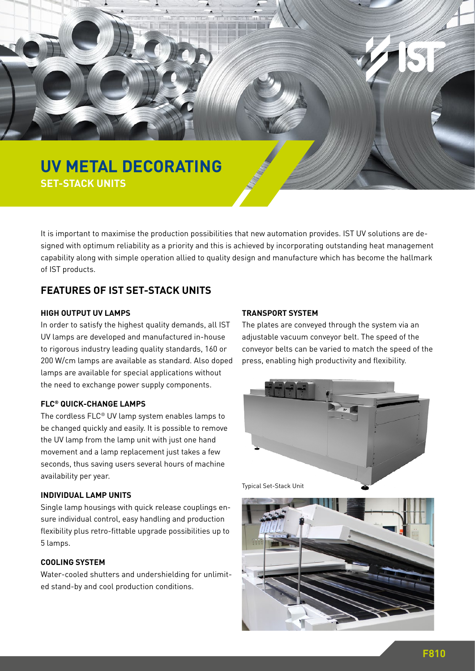

It is important to maximise the production possibilities that new automation provides. IST UV solutions are designed with optimum reliability as a priority and this is achieved by incorporating outstanding heat management capability along with simple operation allied to quality design and manufacture which has become the hallmark of IST products.

# **FEATURES OF IST SET-STACK UNITS**

# **HIGH OUTPUT UV LAMPS**

In order to satisfy the highest quality demands, all IST UV lamps are developed and manufactured in-house to rigorous industry leading quality standards, 160 or 200 W/cm lamps are available as standard. Also doped lamps are available for special applications without the need to exchange power supply components.

#### **FLC® QUICK-CHANGE LAMPS**

The cordless FLC® UV lamp system enables lamps to be changed quickly and easily. It is possible to remove the UV lamp from the lamp unit with just one hand movement and a lamp replacement just takes a few seconds, thus saving users several hours of machine availability per year.

#### **INDIVIDUAL LAMP UNITS**

Single lamp housings with quick release couplings ensure individual control, easy handling and production flexibility plus retro-fittable upgrade possibilities up to 5 lamps.

# **COOLING SYSTEM**

Water-cooled shutters and undershielding for unlimited stand-by and cool production conditions.

## **TRANSPORT SYSTEM**

The plates are conveyed through the system via an adjustable vacuum conveyor belt. The speed of the conveyor belts can be varied to match the speed of the press, enabling high productivity and flexibility.